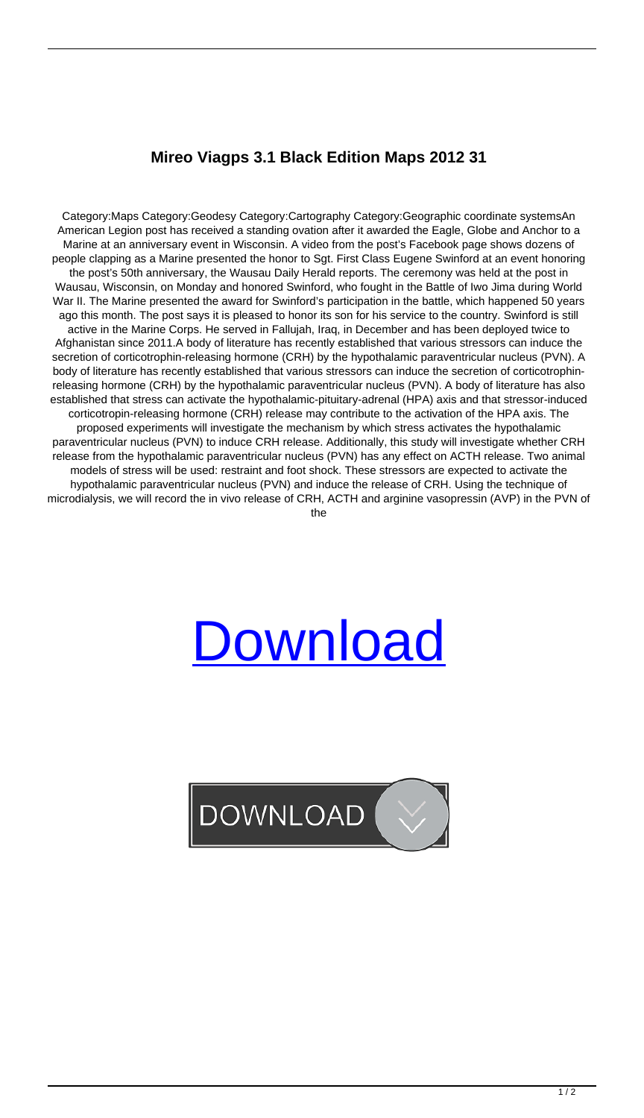## **Mireo Viagps 3.1 Black Edition Maps 2012 31**

Category:Maps Category:Geodesy Category:Cartography Category:Geographic coordinate systemsAn American Legion post has received a standing ovation after it awarded the Eagle, Globe and Anchor to a Marine at an anniversary event in Wisconsin. A video from the post's Facebook page shows dozens of people clapping as a Marine presented the honor to Sgt. First Class Eugene Swinford at an event honoring the post's 50th anniversary, the Wausau Daily Herald reports. The ceremony was held at the post in Wausau, Wisconsin, on Monday and honored Swinford, who fought in the Battle of Iwo Jima during World War II. The Marine presented the award for Swinford's participation in the battle, which happened 50 years ago this month. The post says it is pleased to honor its son for his service to the country. Swinford is still active in the Marine Corps. He served in Fallujah, Iraq, in December and has been deployed twice to Afghanistan since 2011.A body of literature has recently established that various stressors can induce the secretion of corticotrophin-releasing hormone (CRH) by the hypothalamic paraventricular nucleus (PVN). A body of literature has recently established that various stressors can induce the secretion of corticotrophinreleasing hormone (CRH) by the hypothalamic paraventricular nucleus (PVN). A body of literature has also established that stress can activate the hypothalamic-pituitary-adrenal (HPA) axis and that stressor-induced corticotropin-releasing hormone (CRH) release may contribute to the activation of the HPA axis. The proposed experiments will investigate the mechanism by which stress activates the hypothalamic paraventricular nucleus (PVN) to induce CRH release. Additionally, this study will investigate whether CRH release from the hypothalamic paraventricular nucleus (PVN) has any effect on ACTH release. Two animal models of stress will be used: restraint and foot shock. These stressors are expected to activate the hypothalamic paraventricular nucleus (PVN) and induce the release of CRH. Using the technique of microdialysis, we will record the in vivo release of CRH, ACTH and arginine vasopressin (AVP) in the PVN of the

## [Download](http://evacdir.com/ZG93bmxvYWR8VVYxTVRCM1lYeDhNVFkxTWpjME1EZzJObng4TWpVM05IeDhLRTBwSUhKbFlXUXRZbXh2WnlCYlJtRnpkQ0JIUlU1ZA/argumentation/orifices?bWlyZW8gdmlhZ3BzIDMuMSBibGFjayBlZGl0aW9uIG1hcHMgMjAxMiAzMQbWl=permanancy.versed=nodding)

## DOWNLOAD